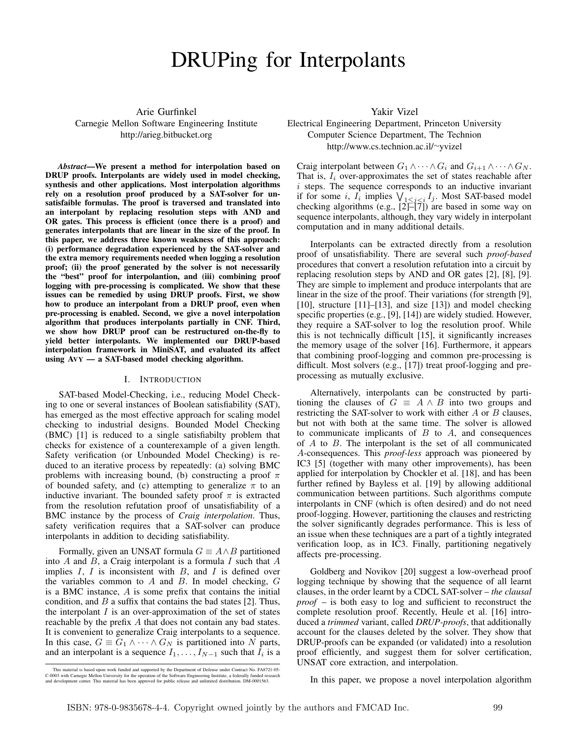# DRUPing for Interpolants

Arie Gurfinkel Carnegie Mellon Software Engineering Institute http://arieg.bitbucket.org

*Abstract*—We present a method for interpolation based on DRUP proofs. Interpolants are widely used in model checking, synthesis and other applications. Most interpolation algorithms rely on a resolution proof produced by a SAT-solver for unsatisfaible formulas. The proof is traversed and translated into an interpolant by replacing resolution steps with AND and OR gates. This process is efficient (once there is a proof) and generates interpolants that are linear in the size of the proof. In this paper, we address three known weakness of this approach: (i) performance degradation experienced by the SAT-solver and the extra memory requirements needed when logging a resolution proof; (ii) the proof generated by the solver is not necessarily the "best" proof for interpolantion, and (iii) combining proof logging with pre-processing is complicated. We show that these issues can be remedied by using DRUP proofs. First, we show how to produce an interpolant from a DRUP proof, even when pre-processing is enabled. Second, we give a novel interpolation algorithm that produces interpolants partially in CNF. Third, we show how DRUP proof can be restructured on-the-fly to yield better interpolants. We implemented our DRUP-based interpolation framework in MiniSAT, and evaluated its affect using  $AVY - a SAT-based model checking algorithm.$ 

### I. INTRODUCTION

SAT-based Model-Checking, i.e., reducing Model Checking to one or several instances of Boolean satisfiability (SAT), has emerged as the most effective approach for scaling model checking to industrial designs. Bounded Model Checking (BMC) [1] is reduced to a single satisfiabilty problem that checks for existence of a counterexample of a given length. Safety verification (or Unbounded Model Checking) is reduced to an iterative process by repeatedly: (a) solving BMC problems with increasing bound, (b) constructing a proof  $\pi$ of bounded safety, and (c) attempting to generalize  $\pi$  to an inductive invariant. The bounded safety proof  $\pi$  is extracted from the resolution refutation proof of unsatisfiability of a BMC instance by the process of *Craig interpolation*. Thus, safety verification requires that a SAT-solver can produce interpolants in addition to deciding satisfiability.

Formally, given an UNSAT formula  $G \equiv A \wedge B$  partitioned into  $A$  and  $B$ , a Craig interpolant is a formula  $I$  such that  $A$ implies  $I, I$  is inconsistent with  $B$ , and  $I$  is defined over the variables common to  $A$  and  $B$ . In model checking,  $G$ is a BMC instance, A is some prefix that contains the initial condition, and  $B$  a suffix that contains the bad states [2]. Thus, the interpolant  $I$  is an over-approximation of the set of states reachable by the prefix A that does not contain any bad states. It is convenient to generalize Craig interpolants to a sequence. In this case,  $G \equiv G_1 \wedge \cdots \wedge G_N$  is partitioned into N parts, and an interpolant is a sequence  $I_1, \ldots, I_{N-1}$  such that  $I_i$  is a

Yakir Vizel Electrical Engineering Department, Princeton University Computer Science Department, The Technion http://www.cs.technion.ac.il/∼yvizel

Craig interpolant between  $G_1 \wedge \cdots \wedge G_i$  and  $G_{i+1} \wedge \cdots \wedge G_N$ . That is,  $I_i$  over-approximates the set of states reachable after  $i$  steps. The sequence corresponds to an inductive invariant if for some i,  $I_i$  implies  $\bigvee_{1 \leq j \leq i} I_j$ . Most SAT-based model checking algorithms (e.g.,  $[2]$  $-[7]$ ) are based in some way on sequence interpolants, although, they vary widely in interpolant computation and in many additional details.

Interpolants can be extracted directly from a resolution proof of unsatisfiability. There are several such *proof-based* procedures that convert a resolution refutation into a circuit by replacing resolution steps by AND and OR gates [2], [8], [9]. They are simple to implement and produce interpolants that are linear in the size of the proof. Their variations (for strength [9], [10], structure [11]–[13], and size [13]) and model checking specific properties (e.g., [9], [14]) are widely studied. However, they require a SAT-solver to log the resolution proof. While this is not technically difficult [15], it significantly increases the memory usage of the solver [16]. Furthermore, it appears that combining proof-logging and common pre-processing is difficult. Most solvers (e.g., [17]) treat proof-logging and preprocessing as mutually exclusive.

Alternatively, interpolants can be constructed by partitioning the clauses of  $G \equiv A \wedge B$  into two groups and restricting the SAT-solver to work with either A or B clauses, but not with both at the same time. The solver is allowed to communicate implicants of  $B$  to  $A$ , and consequences of A to B. The interpolant is the set of all communicated A-consequences. This *proof-less* approach was pioneered by IC3 [5] (together with many other improvements), has been applied for interpolation by Chockler et al. [18], and has been further refined by Bayless et al. [19] by allowing additional communication between partitions. Such algorithms compute interpolants in CNF (which is often desired) and do not need proof-logging. However, partitioning the clauses and restricting the solver significantly degrades performance. This is less of an issue when these techniques are a part of a tightly integrated verification loop, as in IC3. Finally, partitioning negatively affects pre-processing.

Goldberg and Novikov [20] suggest a low-overhead proof logging technique by showing that the sequence of all learnt clauses, in the order learnt by a CDCL SAT-solver – *the clausal proof* – is both easy to log and sufficient to reconstruct the complete resolution proof. Recently, Heule et al. [16] introduced a *trimmed* variant, called *DRUP-proofs*, that additionally account for the clauses deleted by the solver. They show that DRUP-proofs can be expanded (or validated) into a resolution proof efficiently, and suggest them for solver certification, UNSAT core extraction, and interpolation.

In this paper, we propose a novel interpolation algorithm

This material is based upon work funded and supported by the Department of Defense under Contract No. FA8721-05-<br>C-0003 with Carnegie Mellon University for the operation of the Software Engineering Institute, a federally f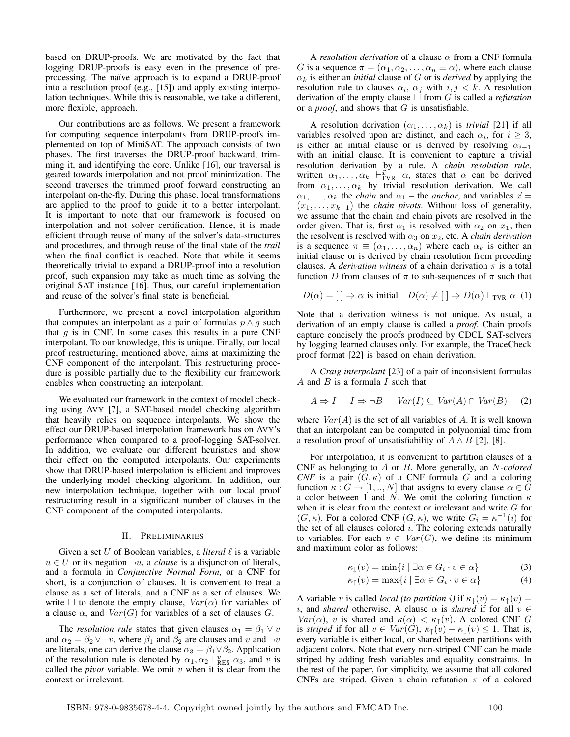based on DRUP-proofs. We are motivated by the fact that logging DRUP-proofs is easy even in the presence of preprocessing. The naïve approach is to expand a DRUP-proof into a resolution proof (e.g., [15]) and apply existing interpolation techniques. While this is reasonable, we take a different, more flexible, approach.

Our contributions are as follows. We present a framework for computing sequence interpolants from DRUP-proofs implemented on top of MiniSAT. The approach consists of two phases. The first traverses the DRUP-proof backward, trimming it, and identifying the core. Unlike [16], our traversal is geared towards interpolation and not proof minimization. The second traverses the trimmed proof forward constructing an interpolant on-the-fly. During this phase, local transformations are applied to the proof to guide it to a better interpolant. It is important to note that our framework is focused on interpolation and not solver certification. Hence, it is made efficient through reuse of many of the solver's data-structures and procedures, and through reuse of the final state of the *trail* when the final conflict is reached. Note that while it seems theoretically trivial to expand a DRUP-proof into a resolution proof, such expansion may take as much time as solving the original SAT instance [16]. Thus, our careful implementation and reuse of the solver's final state is beneficial.

Furthermore, we present a novel interpolation algorithm that computes an interpolant as a pair of formulas  $p \wedge g$  such that  $g$  is in CNF. In some cases this results in a pure CNF interpolant. To our knowledge, this is unique. Finally, our local proof restructuring, mentioned above, aims at maximizing the CNF component of the interpolant. This restructuring procedure is possible partially due to the flexibility our framework enables when constructing an interpolant.

We evaluated our framework in the context of model checking using AVY [7], a SAT-based model checking algorithm that heavily relies on sequence interpolants. We show the effect our DRUP-based interpolation framework has on AVY's performance when compared to a proof-logging SAT-solver. In addition, we evaluate our different heuristics and show their effect on the computed interpolants. Our experiments show that DRUP-based interpolation is efficient and improves the underlying model checking algorithm. In addition, our new interpolation technique, together with our local proof restructuring result in a significant number of clauses in the CNF component of the computed interpolants.

## II. PRELIMINARIES

Given a set  $U$  of Boolean variables, a *literal*  $\ell$  is a variable  $u \in U$  or its negation  $\neg u$ , a *clause* is a disjunction of literals, and a formula in *Conjunctive Normal Form*, or a CNF for short, is a conjunction of clauses. It is convenient to treat a clause as a set of literals, and a CNF as a set of clauses. We write  $\Box$  to denote the empty clause,  $Var(\alpha)$  for variables of a clause  $\alpha$ , and  $Var(G)$  for variables of a set of clauses G.

The *resolution rule* states that given clauses  $\alpha_1 = \beta_1 \vee v$ and  $\alpha_2 = \beta_2 \vee \neg v$ , where  $\beta_1$  and  $\beta_2$  are clauses and v and  $\neg v$ are literals, one can derive the clause  $\alpha_3 = \beta_1 \vee \beta_2$ . Application of the resolution rule is denoted by  $\alpha_1, \alpha_2 \vdash_{\text{RES}}^v \alpha_3$ , and v is called the *pivot* variable. We omit  $v$  when it is clear from the context or irrelevant.

A *resolution derivation* of a clause α from a CNF formula G is a sequence  $\pi = (\alpha_1, \alpha_2, \dots, \alpha_n \equiv \alpha)$ , where each clause  $\alpha_k$  is either an *initial* clause of G or is *derived* by applying the resolution rule to clauses  $\alpha_i$ ,  $\alpha_j$  with  $i, j < k$ . A resolution derivation of the empty clause  $\Box$  from G is called a *refutation* or a *proof*, and shows that G is unsatisfiable.

A resolution derivation  $(\alpha_1, \ldots, \alpha_k)$  is *trivial* [21] if all variables resolved upon are distinct, and each  $\alpha_i$ , for  $i \geq 3$ , is either an initial clause or is derived by resolving  $\alpha_{i-1}$ with an initial clause. It is convenient to capture a trivial resolution derivation by a rule. A *chain resolution rule*, written  $\alpha_1, \ldots, \alpha_k \vdash_{\text{TVR}}^{\vec{x}} \alpha$ , states that  $\alpha$  can be derived from  $\alpha_1, \ldots, \alpha_k$  by trivial resolution derivation. We call  $\alpha_1, \ldots, \alpha_k$  the *chain* and  $\alpha_1$  – the *anchor*, and variables  $\vec{x} =$  $(x_1, \ldots, x_{k-1})$  the *chain pivots*. Without loss of generality, we assume that the chain and chain pivots are resolved in the order given. That is, first  $\alpha_1$  is resolved with  $\alpha_2$  on  $x_1$ , then the resolvent is resolved with  $\alpha_3$  on  $x_2$ , etc. A *chain derivation* is a sequence  $\pi \equiv (\alpha_1, \ldots, \alpha_n)$  where each  $\alpha_k$  is either an initial clause or is derived by chain resolution from preceding clauses. A *derivation witness* of a chain derivation  $\pi$  is a total function D from clauses of  $\pi$  to sub-sequences of  $\pi$  such that

$$
D(\alpha) = [ ] \Rightarrow \alpha \text{ is initial} \quad D(\alpha) \neq [ ] \Rightarrow D(\alpha) \vdash_{\text{TVR}} \alpha (1)
$$

Note that a derivation witness is not unique. As usual, a derivation of an empty clause is called a *proof*. Chain proofs capture concisely the proofs produced by CDCL SAT-solvers by logging learned clauses only. For example, the TraceCheck proof format [22] is based on chain derivation.

A *Craig interpolant* [23] of a pair of inconsistent formulas A and  $B$  is a formula  $I$  such that

$$
A \Rightarrow I \quad I \Rightarrow \neg B \quad \text{Var}(I) \subseteq \text{Var}(A) \cap \text{Var}(B) \quad (2)
$$

where  $Var(A)$  is the set of all variables of A. It is well known that an interpolant can be computed in polynomial time from a resolution proof of unsatisfiability of  $A \wedge B$  [2], [8].

For interpolation, it is convenient to partition clauses of a CNF as belonging to A or B. More generally, an N*-colored CNF* is a pair  $(G, \kappa)$  of a CNF formula G and a coloring function  $\kappa : G \to [1, ..., N]$  that assigns to every clause  $\alpha \in \overline{G}$ a color between 1 and N. We omit the coloring function  $\kappa$ when it is clear from the context or irrelevant and write  $G$  for  $(G, \kappa)$ . For a colored CNF  $(G, \kappa)$ , we write  $G_i = \kappa^{-1}(i)$  for the set of all clauses colored  $i$ . The coloring extends naturally to variables. For each  $v \in Var(G)$ , we define its minimum and maximum color as follows:

$$
\kappa_{\downarrow}(v) = \min\{i \mid \exists \alpha \in G_i \cdot v \in \alpha\} \tag{3}
$$

$$
\kappa_{\uparrow}(v) = \max\{i \mid \exists \alpha \in G_i \cdot v \in \alpha\} \tag{4}
$$

A variable v is called *local (to partition i)* if  $\kappa_1(v) = \kappa_1(v)$ i, and *shared* otherwise. A clause  $\alpha$  is *shared* if for all  $v \in$ Var( $\alpha$ ), v is shared and  $\kappa(\alpha) < \kappa_1(v)$ . A colored CNF G is *striped* if for all  $v \in Var(G)$ ,  $\kappa_{\uparrow}(v) - \kappa_{\downarrow}(v) \leq 1$ . That is, every variable is either local, or shared between partitions with adjacent colors. Note that every non-striped CNF can be made striped by adding fresh variables and equality constraints. In the rest of the paper, for simplicity, we assume that all colored CNFs are striped. Given a chain refutation  $\pi$  of a colored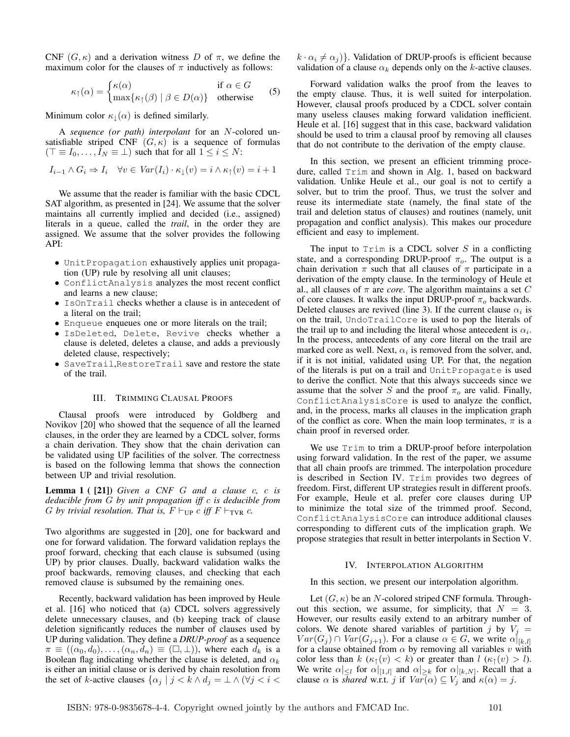CNF  $(G, \kappa)$  and a derivation witness D of  $\pi$ , we define the maximum color for the clauses of  $\pi$  inductively as follows:

$$
\kappa_{\uparrow}(\alpha) = \begin{cases} \kappa(\alpha) & \text{if } \alpha \in G \\ \max\{\kappa_{\uparrow}(\beta) \mid \beta \in D(\alpha)\} & \text{otherwise} \end{cases} \tag{5}
$$

Minimum color  $\kappa_{\perp}(\alpha)$  is defined similarly.

A *sequence (or path) interpolant* for an N-colored unsatisfiable striped CNF  $(G, \kappa)$  is a sequence of formulas  $(T \equiv I_0, \ldots, I_N \equiv \perp)$  such that for all  $1 \leq i \leq N$ :

$$
I_{i-1} \wedge G_i \Rightarrow I_i \quad \forall v \in \text{Var}(I_i) \cdot \kappa_{\downarrow}(v) = i \wedge \kappa_{\uparrow}(v) = i+1
$$

We assume that the reader is familiar with the basic CDCL SAT algorithm, as presented in [24]. We assume that the solver maintains all currently implied and decided (i.e., assigned) literals in a queue, called the *trail*, in the order they are assigned. We assume that the solver provides the following API:

- UnitPropagation exhaustively applies unit propagation (UP) rule by resolving all unit clauses;
- ConflictAnalysis analyzes the most recent conflict and learns a new clause;
- IsOnTrail checks whether a clause is in antecedent of a literal on the trail;
- Enqueue enqueues one or more literals on the trail;
- IsDeleted, Delete, Revive checks whether a clause is deleted, deletes a clause, and adds a previously deleted clause, respectively;
- SaveTrail,RestoreTrail save and restore the state of the trail.

## III. TRIMMING CLAUSAL PROOFS

Clausal proofs were introduced by Goldberg and Novikov [20] who showed that the sequence of all the learned clauses, in the order they are learned by a CDCL solver, forms a chain derivation. They show that the chain derivation can be validated using UP facilities of the solver. The correctness is based on the following lemma that shows the connection between UP and trivial resolution.

Lemma 1 ( [21]) *Given a CNF* G *and a clause* c*,* c *is deducible from* G *by unit propagation iff* c *is deducible from* G by trivial resolution. That is,  $F \vdash_{\text{UP}} c$  iff  $F \vdash_{\text{TVR}} c$ .

Two algorithms are suggested in [20], one for backward and one for forward validation. The forward validation replays the proof forward, checking that each clause is subsumed (using UP) by prior clauses. Dually, backward validation walks the proof backwards, removing clauses, and checking that each removed clause is subsumed by the remaining ones.

Recently, backward validation has been improved by Heule et al. [16] who noticed that (a) CDCL solvers aggressively delete unnecessary clauses, and (b) keeping track of clause deletion significantly reduces the number of clauses used by UP during validation. They define a *DRUP-proof* as a sequence  $\pi \equiv ((\alpha_0, d_0), \ldots, (\alpha_n, d_n) \equiv (\square, \bot))$ , where each  $d_k$  is a Boolean flag indicating whether the clause is deleted, and  $\alpha_k$ is either an initial clause or is derived by chain resolution from the set of k-active clauses  $\{\alpha_j \mid j \le k \wedge d_j = \bot \wedge (\forall j \le i \le k\})$ 

 $k \cdot \alpha_i \neq \alpha_j$ }. Validation of DRUP-proofs is efficient because validation of a clause  $\alpha_k$  depends only on the k-active clauses.

Forward validation walks the proof from the leaves to the empty clause. Thus, it is well suited for interpolation. However, clausal proofs produced by a CDCL solver contain many useless clauses making forward validation inefficient. Heule et al. [16] suggest that in this case, backward validation should be used to trim a clausal proof by removing all clauses that do not contribute to the derivation of the empty clause.

In this section, we present an efficient trimming procedure, called Trim and shown in Alg. 1, based on backward validation. Unlike Heule et al., our goal is not to certify a solver, but to trim the proof. Thus, we trust the solver and reuse its intermediate state (namely, the final state of the trail and deletion status of clauses) and routines (namely, unit propagation and conflict analysis). This makes our procedure efficient and easy to implement.

The input to  $Trim$  is a CDCL solver S in a conflicting state, and a corresponding DRUP-proof  $\pi_o$ . The output is a chain derivation  $\pi$  such that all clauses of  $\pi$  participate in a derivation of the empty clause. In the terminology of Heule et al., all clauses of  $\pi$  are *core*. The algorithm maintains a set C of core clauses. It walks the input DRUP-proof  $\pi_o$  backwards. Deleted clauses are revived (line 3). If the current clause  $\alpha_i$  is on the trail, UndoTrailCore is used to pop the literals of the trail up to and including the literal whose antecedent is  $\alpha_i$ . In the process, antecedents of any core literal on the trail are marked core as well. Next,  $\alpha_i$  is removed from the solver, and, if it is not initial, validated using UP. For that, the negation of the literals is put on a trail and UnitPropagate is used to derive the conflict. Note that this always succeeds since we assume that the solver S and the proof  $\pi_o$  are valid. Finally, ConflictAnalysisCore is used to analyze the conflict, and, in the process, marks all clauses in the implication graph of the conflict as core. When the main loop terminates,  $\pi$  is a chain proof in reversed order.

We use Trim to trim a DRUP-proof before interpolation using forward validation. In the rest of the paper, we assume that all chain proofs are trimmed. The interpolation procedure is described in Section IV. Trim provides two degrees of freedom. First, different UP strategies result in different proofs. For example, Heule et al. prefer core clauses during UP to minimize the total size of the trimmed proof. Second, ConflictAnalysisCore can introduce additional clauses corresponding to different cuts of the implication graph. We propose strategies that result in better interpolants in Section V.

#### IV. INTERPOLATION ALGORITHM

In this section, we present our interpolation algorithm.

Let  $(G, \kappa)$  be an N-colored striped CNF formula. Throughout this section, we assume, for simplicity, that  $N = 3$ . However, our results easily extend to an arbitrary number of colors. We denote shared variables of partition j by  $V_j =$  $Var(G_i) \cap Var(G_{i+1})$ . For a clause  $\alpha \in G$ , we write  $\alpha|_{[k,l]}$ for a clause obtained from  $\alpha$  by removing all variables v with color less than  $k (\kappa_{\uparrow}(v) < k)$  or greater than  $l (\kappa_{\uparrow}(v) > l)$ . We write  $\alpha|_{\leq l}$  for  $\alpha|_{[1,l]}$  and  $\alpha|_{\geq k}$  for  $\alpha|_{[k,N]}$ . Recall that a clause  $\alpha$  is *shared* w.r.t. j if  $Var(\alpha) \subseteq V_j$  and  $\kappa(\alpha) = j$ .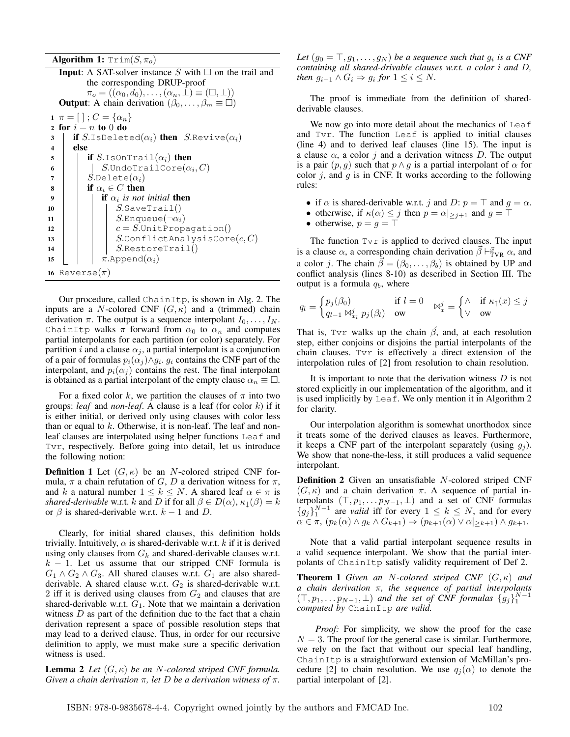**Algorithm 1:**  $Trim(S, \pi_o)$ 

```
Input: A SAT-solver instance S with \Box on the trail and
          the corresponding DRUP-proof
          \pi_o = ((\alpha_0, d_0), \ldots, (\alpha_n, \perp) \equiv (\square, \perp))Output: A chain derivation (\beta_0, \ldots, \beta_m \equiv \Box)1 \pi = [\;]; C = {\alpha_n}2 for i = n to 0 do
3 if S.IsDeleted(\alpha_i) then S.Revive(\alpha_i)
4 else
5 if S.IsOnTrail(\alpha_i) then
 6 \vert\phantom{a} \vert\phantom{a} S.UndoTrailCore(\alpha_i, C)7 | S.\text{Delete}(\alpha_i)8 if \alpha_i \in C then
 9 i if \alpha_i is not initial then
10 | | | S. Save Trail()
11 | | S. Enqueue(\neg \alpha_i)12 \vert \vert \vert c = S. Unit Propagation()
13 | | | S.ConflictAnalysisCore(c, C)14 | | | S.RestoreTrail()
15 | \pi.Append(\alpha_i)16 Reverse(\pi)
```
Our procedure, called ChainItp, is shown in Alg. 2. The inputs are a N-colored CNF  $(G, \kappa)$  and a (trimmed) chain derivation  $\pi$ . The output is a sequence interpolant  $I_0, \ldots, I_N$ . ChainItp walks  $\pi$  forward from  $\alpha_0$  to  $\alpha_n$  and computes partial interpolants for each partition (or color) separately. For partition *i* and a clause  $\alpha_i$ , a partial interpolant is a conjunction of a pair of formulas  $p_i(\alpha_j) \wedge g_i$ .  $g_i$  contains the CNF part of the interpolant, and  $p_i(\alpha_j)$  contains the rest. The final interpolant is obtained as a partial interpolant of the empty clause  $\alpha_n \equiv \Box$ .

For a fixed color k, we partition the clauses of  $\pi$  into two groups: *leaf* and *non-leaf*. A clause is a leaf (for color k) if it is either initial, or derived only using clauses with color less than or equal to  $k$ . Otherwise, it is non-leaf. The leaf and nonleaf clauses are interpolated using helper functions Leaf and Tvr, respectively. Before going into detail, let us introduce the following notion:

**Definition 1** Let  $(G, \kappa)$  be an N-colored striped CNF formula,  $\pi$  a chain refutation of G, D a derivation witness for  $\pi$ , and k a natural number  $1 \leq k \leq N$ . A shared leaf  $\alpha \in \pi$  is *shared-derivable* w.r.t. k and D if for all  $\beta \in D(\alpha)$ ,  $\kappa_{\perp}(\beta) = k$ or  $\beta$  is shared-derivable w.r.t.  $k - 1$  and D.

Clearly, for initial shared clauses, this definition holds trivially. Intuitively,  $\alpha$  is shared-derivable w.r.t. k if it is derived using only clauses from  $G_k$  and shared-derivable clauses w.r.t.  $k - 1$ . Let us assume that our stripped CNF formula is  $G_1 \wedge G_2 \wedge G_3$ . All shared clauses w.r.t.  $G_1$  are also sharedderivable. A shared clause w.r.t.  $G_2$  is shared-derivable w.r.t. 2 iff it is derived using clauses from  $G_2$  and clauses that are shared-derivable w.r.t.  $G_1$ . Note that we maintain a derivation witness  $D$  as part of the definition due to the fact that a chain derivation represent a space of possible resolution steps that may lead to a derived clause. Thus, in order for our recursive definition to apply, we must make sure a specific derivation witness is used.

**Lemma 2** *Let*  $(G, \kappa)$  *be an N*-colored striped CNF formula. *Given a chain derivation* π*, let* D *be a derivation witness of* π*.*

Let  $(g_0 = \top, g_1, \ldots, g_N)$  be a sequence such that  $g_i$  is a CNF *containing all shared-drivable clauses w.r.t. a color* i *and* D*, then*  $g_{i-1} \wedge G_i \Rightarrow g_i$  *for*  $1 \leq i \leq N$ *.* 

The proof is immediate from the definition of sharedderivable clauses.

We now go into more detail about the mechanics of Leaf and Tvr. The function Leaf is applied to initial clauses (line 4) and to derived leaf clauses (line 15). The input is a clause  $\alpha$ , a color j and a derivation witness D. The output is a pair  $(p, q)$  such that  $p \wedge q$  is a partial interpolant of  $\alpha$  for color  $j$ , and  $g$  is in CNF. It works according to the following rules:

- if  $\alpha$  is shared-derivable w.r.t. j and D:  $p = \top$  and  $q = \alpha$ .
- otherwise, if  $\kappa(\alpha) \leq j$  then  $p = \alpha |_{\geq j+1}$  and  $g = \top$
- otherwise,  $p = q = \top$

The function  $T \lor r$  is applied to derived clauses. The input is a clause  $\alpha$ , a corresponding chain derivation  $\vec{\beta} \vdash^{\vec{x}}_{\text{TVR}} \alpha$ , and a color j. The chain  $\vec{\beta} = (\beta_0, \ldots, \beta_b)$  is obtained by UP and conflict analysis (lines 8-10) as described in Section III. The output is a formula  $q_b$ , where

$$
q_l = \begin{cases} p_j(\beta_0) & \text{if } l = 0 \\ q_{l-1} \bowtie_{x_l}^j p_j(\beta_l) & \text{ow} \end{cases} \bowtie_{x}^j = \begin{cases} \wedge & \text{if } \kappa_{\uparrow}(x) \leq j \\ \vee & \text{ow} \end{cases}
$$

That is, Tvr walks up the chain  $\beta$ , and, at each resolution step, either conjoins or disjoins the partial interpolants of the chain clauses. Tvr is effectively a direct extension of the interpolation rules of [2] from resolution to chain resolution.

It is important to note that the derivation witness  $D$  is not stored explicitly in our implementation of the algorithm, and it is used implicitly by Leaf. We only mention it in Algorithm 2 for clarity.

Our interpolation algorithm is somewhat unorthodox since it treats some of the derived clauses as leaves. Furthermore, it keeps a CNF part of the interpolant separately (using  $g_i$ ). We show that none-the-less, it still produces a valid sequence interpolant.

Definition 2 Given an unsatisfiable N-colored striped CNF  $(G, \kappa)$  and a chain derivation  $\pi$ . A sequence of partial interpolants  $(T, p_1, \ldots p_{N-1}, \perp)$  and a set of CNF formulas  ${g_j}_{1}^{N-1}$  are *valid* iff for every  $1 \leq k \leq N$ , and for every  $\alpha \in \pi$ ,  $(p_k(\alpha) \wedge g_k \wedge G_{k+1}) \Rightarrow (p_{k+1}(\alpha) \vee \alpha)_{\geq k+1}) \wedge g_{k+1}.$ 

Note that a valid partial interpolant sequence results in a valid sequence interpolant. We show that the partial interpolants of ChainItp satisfy validity requirement of Def 2.

Theorem 1 *Given an* N*-colored striped CNF* (G, κ) *and a chain derivation* π*, the sequence of partial interpolants*  $(T, p_1, \ldots p_{N-1}, \perp)$  and the set of CNF formulas  $\{g_j\}_1^{N-1}$ *computed by* ChainItp *are valid.*

*Proof:* For simplicity, we show the proof for the case  $N = 3$ . The proof for the general case is similar. Furthermore, we rely on the fact that without our special leaf handling, ChainItp is a straightforward extension of McMillan's procedure [2] to chain resolution. We use  $q_j(\alpha)$  to denote the partial interpolant of [2].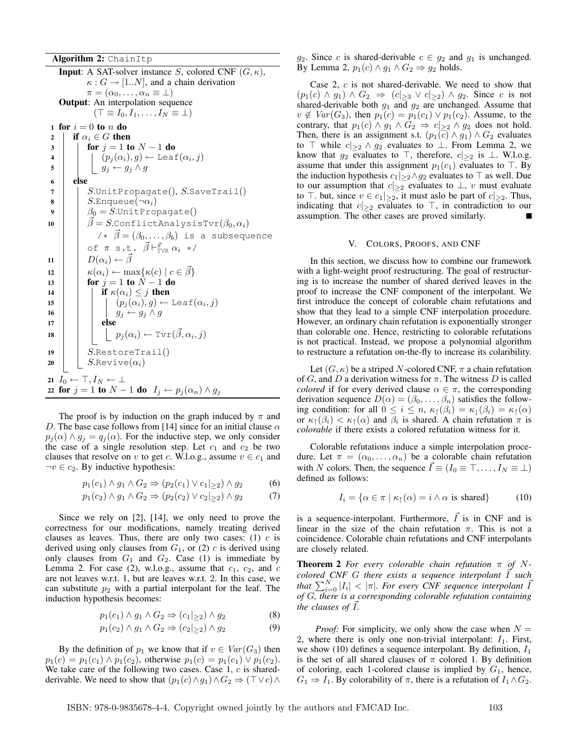Algorithm 2: ChainItp

**Input:** A SAT-solver instance S, colored CNF  $(G, \kappa)$ ,  $\kappa: G \to [1..N]$ , and a chain derivation  $\pi = (\alpha_0, \ldots, \alpha_n \equiv \bot)$ Output: An interpolation sequence  $(\top \equiv I_0, I_1, \ldots, I_N \equiv \bot)$ 1 for  $i = 0$  to n do 2 if  $\alpha_i \in G$  then 3 **for**  $j = 1$  to  $N - 1$  do 4  $\vert$   $\vert$   $\vert$   $(p_j(\alpha_i), g) \leftarrow$  Leaf $(\alpha_i, j)$ 5  $g_j \leftarrow g_j \wedge g$ <sup>6</sup> else  $7$  | |  $S$ .UnitPropagate(), S.SaveTrail() 8 | |  $S$ .Enqueue $(\neg \alpha_i)$ 9  $\beta_0 = S$ . Unit Propagate() 10  $\vec{\beta} = S$ .ConflictAnalysisTvr $(\beta_0, \alpha_i)$  $/ * \vec{\beta} = (\beta_0, \ldots, \beta_b)$  is a subsequence of  $\pi$  s.t.  $\vec{\beta} \vdash_{\text{TVR}}^{\vec{x}} \alpha_i$  \*/ 11  $D(\alpha_i) \leftarrow \vec{\beta}$ 12  $\left| \begin{array}{c} \kappa(\alpha_i) \leftarrow \max\{\kappa(c) \mid c \in \beta\} \end{array} \right.$ 13 **for**  $j = 1$  to  $N - 1$  do 14 **if**  $\kappa(\alpha_i) \leq j$  then 15  $\vert$   $\vert$   $\vert$   $\vert$   $(p_j(\alpha_i), g) \leftarrow$  Leaf $(\alpha_i, j)$ 16  $g_j \leftarrow g_j \wedge g$ 17 **else 18**  $\vert \vert \vert \vert p_j(\alpha_i) \leftarrow \text{Tvr}(\vec{\beta}, \alpha_i, j)$ 19 |  $SעrestoreTrail()$ 20 |  $S$ .Revive $(\alpha_i)$ 21  $I_0 \leftarrow \top, I_N \leftarrow \bot$ 22 for  $j = 1$  to  $N - 1$  do  $I_j \leftarrow p_j(\alpha_n) \wedge g_j$ 

The proof is by induction on the graph induced by  $\pi$  and D. The base case follows from [14] since for an initial clause  $\alpha$  $p_j(\alpha) \wedge g_j = q_j(\alpha)$ . For the inductive step, we only consider the case of a single resolution step. Let  $c_1$  and  $c_2$  be two clauses that resolve on v to get c. W.l.o.g., assume  $v \in c_1$  and  $\neg v \in c_2$ . By inductive hypothesis:

$$
p_1(c_1) \wedge g_1 \wedge G_2 \Rightarrow (p_2(c_1) \vee c_1 |_{\geq 2}) \wedge g_2 \tag{6}
$$

$$
p_1(c_2) \wedge g_1 \wedge G_2 \Rightarrow (p_2(c_2) \vee c_2 |_{\geq 2}) \wedge g_2 \tag{7}
$$

Since we rely on [2], [14], we only need to prove the correctness for our modifications, namely treating derived clauses as leaves. Thus, there are only two cases: (1)  $c$  is derived using only clauses from  $G_1$ , or (2)  $c$  is derived using only clauses from  $G_1$  and  $G_2$ . Case (1) is immediate by Lemma 2. For case (2), w.l.o.g., assume that  $c_1$ ,  $c_2$ , and  $c_1$ are not leaves w.r.t. 1, but are leaves w.r.t. 2. In this case, we can substitute  $p_2$  with a partial interpolant for the leaf. The induction hypothesis becomes:

$$
p_1(c_1) \wedge g_1 \wedge G_2 \Rightarrow (c_1|_{\geq 2}) \wedge g_2 \tag{8}
$$

$$
p_1(c_2) \wedge g_1 \wedge G_2 \Rightarrow (c_2|_{\geq 2}) \wedge g_2 \tag{9}
$$

By the definition of  $p_1$  we know that if  $v \in Var(G_3)$  then  $p_1(c) = p_1(c_1) \wedge p_1(c_2)$ , otherwise  $p_1(c) = p_1(c_1) \vee p_1(c_2)$ . We take care of the following two cases. Case  $1, c$  is sharedderivable. We need to show that  $(p_1(c) \land g_1) \land G_2 \Rightarrow (\top \lor c) \land$ 

 $g_2$ . Since c is shared-derivable  $c \in g_2$  and  $g_1$  is unchanged. By Lemma 2,  $p_1(c) \wedge q_1 \wedge G_2 \Rightarrow q_2$  holds.

Case 2, c is not shared-derivable. We need to show that  $(p_1(c) \wedge g_1) \wedge G_2 \Rightarrow (c|_{\geq 3} \vee c|_{\geq 2}) \wedge g_2$ . Since c is not shared-derivable both  $g_1$  and  $g_2$  are unchanged. Assume that  $v \notin Var(G_3)$ , then  $p_1(c) = p_1(c_1) \lor p_1(c_2)$ . Assume, to the contrary, that  $p_1(c) \wedge g_1 \wedge G_2 \Rightarrow c|_{\geq 2} \wedge g_2$  does not hold. Then, there is an assignment s.t.  $(p_1(c) \wedge g_1) \wedge G_2$  evaluates to  $\top$  while  $c|_{\gt{2}} \wedge g_2$  evaluates to  $\bot$ . From Lemma 2, we know that  $g_2$  evaluates to  $\top$ , therefore,  $c|_{\geq 2}$  is  $\bot$ . W.l.o.g. assume that under this assignment  $p_1(c_1)$  evaluates to  $\top$ . By the induction hypothesis  $c_1|_{\geq 2} \wedge g_2$  evaluates to  $\top$  as well. Due to our assumption that  $c|_{\geq 2}$  evaluates to  $\perp$ , v must evaluate to  $\top$ . but, since  $v \in c_1|_{\geq 2}$ , it must aslo be part of  $c|_{\geq 2}$ . Thus, indicating that  $c|_{\geq 2}$  evaluates to  $\top$ , in contradiction to our assumption. The other cases are proved similarly. П

## V. COLORS, PROOFS, AND CNF

In this section, we discuss how to combine our framework with a light-weight proof restructuring. The goal of restructuring is to increase the number of shared derived leaves in the proof to increase the CNF component of the interpolant. We first introduce the concept of colorable chain refutations and show that they lead to a simple CNF interpolation procedure. However, an ordinary chain refutation is exponentially stronger than colorable one. Hence, restricting to colorable refutations is not practical. Instead, we propose a polynomial algorithm to restructure a refutation on-the-fly to increase its colaribility.

Let  $(G, \kappa)$  be a striped N-colored CNF,  $\pi$  a chain refutation of G, and D a derivation witness for  $\pi$ . The witness D is called *colored* if for every derived clause  $\alpha \in \pi$ , the corresponding derivation sequence  $D(\alpha) = (\beta_0, \dots, \beta_n)$  satisfies the following condition: for all  $0 \le i \le n$ ,  $\kappa_{\uparrow}(\beta_i) = \kappa_{\downarrow}(\beta_i) = \kappa_{\uparrow}(\alpha)$ or  $\kappa_{\uparrow}(\beta_i) < \kappa_{\uparrow}(\alpha)$  and  $\beta_i$  is shared. A chain refutation  $\pi$  is *colorable* if there exists a colored refutation witness for it.

Colorable refutations induce a simple interpolation procedure. Let  $\pi = (\alpha_0, \dots, \alpha_n)$  be a colorable chain refutation with N colors. Then, the sequence  $I \equiv (I_0 \equiv \top, \dots, I_N \equiv \bot)$ defined as follows:

$$
I_i = \{ \alpha \in \pi \mid \kappa_{\uparrow}(\alpha) = i \wedge \alpha \text{ is shared} \}
$$
 (10)

is a sequence-interpolant. Furthermore,  $\overline{I}$  is in CNF and is linear in the size of the chain refutation  $\pi$ . This is not a coincidence. Colorable chain refutations and CNF interpolants are closely related.

**Theorem 2** For every colorable chain refutation  $\pi$  of N $colored$  *CNF G* there exists a sequence interpolant  $\overrightarrow{I}$  such *that*  $\sum_{i=0}^{N} |I_i| < |\pi|$ . For every CNF sequence interpolant  $\overline{I}$ *of* G*, there is a corresponding colorable refutation containing the clauses of I.* 

*Proof:* For simplicity, we only show the case when  $N =$ 2, where there is only one non-trivial interpolant:  $I_1$ . First, we show (10) defines a sequence interpolant. By definition,  $I_1$ is the set of all shared clauses of  $\pi$  colored 1. By definition of coloring, each 1-colored clause is implied by  $G_1$ , hence,  $G_1 \Rightarrow I_1$ . By colorability of  $\pi$ , there is a refutation of  $I_1 \wedge G_2$ .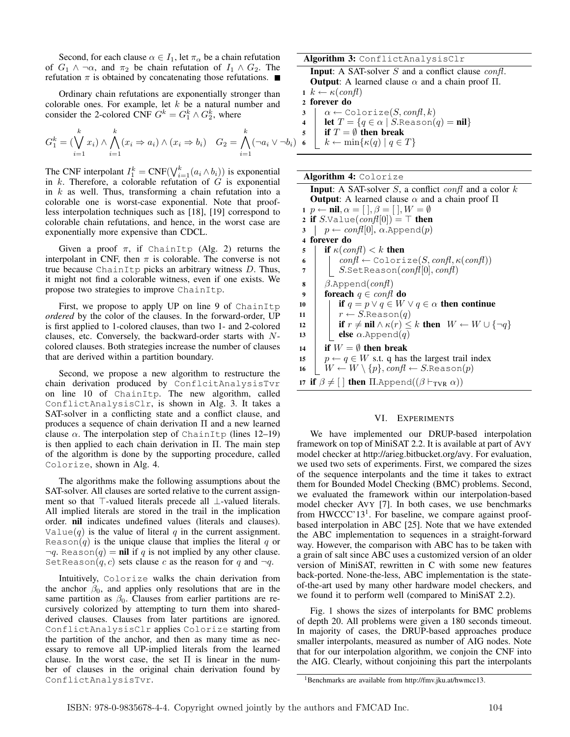Second, for each clause  $\alpha \in I_1$ , let  $\pi_{\alpha}$  be a chain refutation of  $G_1 \wedge \neg \alpha$ , and  $\pi_2$  be chain refutation of  $I_1 \wedge G_2$ . The refutation  $\pi$  is obtained by concatenating those refutations.  $\blacksquare$ 

Ordinary chain refutations are exponentially stronger than colorable ones. For example, let  $k$  be a natural number and consider the 2-colored CNF  $G^k = G_1^k \wedge G_2^k$ , where

$$
G_1^k = \left(\bigvee_{i=1}^k x_i\right) \wedge \bigwedge_{i=1}^k (x_i \Rightarrow a_i) \wedge (x_i \Rightarrow b_i) \quad G_2 = \bigwedge_{i=1}^k (\neg a_i \vee \neg b_i)
$$

The CNF interpolant  $I_1^k = \text{CNF}(\bigvee_{i=1}^k (a_i \wedge b_i))$  is exponential in  $k$ . Therefore, a colorable refutation of  $G$  is exponential in  $k$  as well. Thus, transforming a chain refutation into a colorable one is worst-case exponential. Note that proofless interpolation techniques such as [18], [19] correspond to colorable chain refutations, and hence, in the worst case are exponentially more expensive than CDCL.

Given a proof  $\pi$ , if ChainItp (Alg. 2) returns the interpolant in CNF, then  $\pi$  is colorable. The converse is not true because ChainItp picks an arbitrary witness  $D$ . Thus, it might not find a colorable witness, even if one exists. We propose two strategies to improve ChainItp.

First, we propose to apply UP on line 9 of ChainItp *ordered* by the color of the clauses. In the forward-order, UP is first applied to 1-colored clauses, than two 1- and 2-colored clauses, etc. Conversely, the backward-order starts with  $N$ colored clauses. Both strategies increase the number of clauses that are derived within a partition boundary.

Second, we propose a new algorithm to restructure the chain derivation produced by ConflcitAnalysisTvr on line 10 of ChainItp. The new algorithm, called ConflictAnalysisClr, is shown in Alg. 3. It takes a SAT-solver in a conflicting state and a conflict clause, and produces a sequence of chain derivation Π and a new learned clause  $\alpha$ . The interpolation step of ChainItp (lines 12–19) is then applied to each chain derivation in Π. The main step of the algorithm is done by the supporting procedure, called Colorize, shown in Alg. 4.

The algorithms make the following assumptions about the SAT-solver. All clauses are sorted relative to the current assignment so that ⊤-valued literals precede all ⊥-valued literals. All implied literals are stored in the trail in the implication order. nil indicates undefined values (literals and clauses). Value(q) is the value of literal q in the current assignment. Reason $(q)$  is the unique clause that implies the literal q or  $\neg q$ . Reason $(q)$  = nil if q is not implied by any other clause. SetReason $(q, c)$  sets clause c as the reason for q and  $\neg q$ .

Intuitively, Colorize walks the chain derivation from the anchor  $\beta_0$ , and applies only resolutions that are in the same partition as  $\beta_0$ . Clauses from earlier partitions are recursively colorized by attempting to turn them into sharedderived clauses. Clauses from later partitions are ignored. ConflictAnalysisClr applies Colorize starting from the partition of the anchor, and then as many time as necessary to remove all UP-implied literals from the learned clause. In the worst case, the set  $\Pi$  is linear in the number of clauses in the original chain derivation found by ConflictAnalysisTvr.

Algorithm 3: ConflictAnalysisClr **Input:** A SAT-solver  $S$  and a conflict clause  $\text{conf.}$ **Output:** A learned clause  $\alpha$  and a chain proof Π. 1  $k \leftarrow \kappa(\text{conf})$ <sup>2</sup> forever do

$$
3 \mid \alpha \leftarrow \texttt{Colorize}(S, \textit{confl}, k)
$$

**let**  $T = \{q \in \alpha \mid S.\text{Reason}(q) = \textbf{nil}\}\$ 

5 if  $T = \emptyset$  then break

```
k \leftarrow \min\{\kappa(q) \mid q \in T\}
```
### Algorithm 4: Colorize

**Input:** A SAT-solver  $S$ , a conflict confl and a color  $k$ **Output:** A learned clause  $\alpha$  and a chain proof  $\Pi$ 1  $p \leftarrow \textbf{nil}, \alpha = [ \ ], \beta = [ \ ], W = \emptyset$ 2 if S.Value $(\text{conf}[0]) = \top$  then  $\mathfrak{z}$  |  $p \leftarrow conf[0], \alpha.\mathtt{Append}(p)$ <sup>4</sup> forever do 5 if  $\kappa(\text{conf}) < k$  then 6  $\vert$   $\vert$   $confl \leftarrow$  Colorize(S, confl,  $\kappa(confl)$ )  $7 |$  S.SetReason(confl[0], confl) 8  $\beta$ .Append(confl) 9 foreach  $q \in confd$  do 10 if  $q = p \lor q \in W \lor q \in \alpha$  then continue 11  $\mid r \leftarrow S$ .Reason $(q)$ 12 | if  $r \neq \textbf{nil} \wedge \kappa(r) \leq k$  then  $W \leftarrow W \cup \{\neg q\}$ 13 **else**  $\alpha$ .Append $(q)$ 14 **if**  $W = \emptyset$  then break 15  $p \leftarrow q \in W$  s.t. q has the largest trail index 16  $W \leftarrow W \setminus \{p\}$ ,  $conf \leftarrow S$ .Reason $(p)$ 17 if  $\beta \neq [$  then  $\Pi$ .Append $((\beta \vdash_{TVR} \alpha))$ 

## VI. EXPERIMENTS

We have implemented our DRUP-based interpolation framework on top of MiniSAT 2.2. It is available at part of AVY model checker at http://arieg.bitbucket.org/avy. For evaluation, we used two sets of experiments. First, we compared the sizes of the sequence interpolants and the time it takes to extract them for Bounded Model Checking (BMC) problems. Second, we evaluated the framework within our interpolation-based model checker AVY [7]. In both cases, we use benchmarks from HWCCC'13<sup>1</sup>. For baseline, we compare against proofbased interpolation in ABC [25]. Note that we have extended the ABC implementation to sequences in a straight-forward way. However, the comparison with ABC has to be taken with a grain of salt since ABC uses a customized version of an older version of MiniSAT, rewritten in C with some new features back-ported. None-the-less, ABC implementation is the stateof-the-art used by many other hardware model checkers, and we found it to perform well (compared to MiniSAT 2.2).

Fig. 1 shows the sizes of interpolants for BMC problems of depth 20. All problems were given a 180 seconds timeout. In majority of cases, the DRUP-based approaches produce smaller interpolants, measured as number of AIG nodes. Note that for our interpolation algorithm, we conjoin the CNF into the AIG. Clearly, without conjoining this part the interpolants

<sup>1</sup>Benchmarks are available from http://fmv.jku.at/hwmcc13.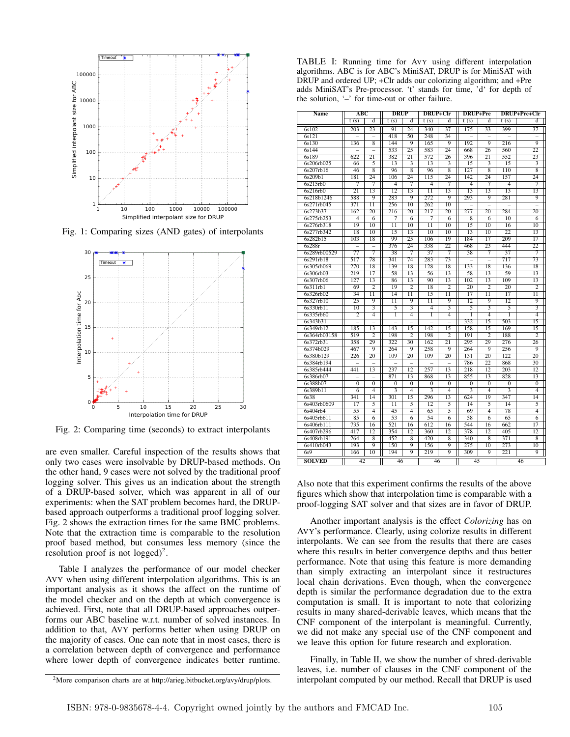

Fig. 1: Comparing sizes (AND gates) of interpolants



Fig. 2: Comparing time (seconds) to extract interpolants

are even smaller. Careful inspection of the results shows that only two cases were insolvable by DRUP-based methods. On the other hand, 9 cases were not solved by the traditional proof logging solver. This gives us an indication about the strength of a DRUP-based solver, which was apparent in all of our experiments: when the SAT problem becomes hard, the DRUPbased approach outperforms a traditional proof logging solver. Fig. 2 shows the extraction times for the same BMC problems. Note that the extraction time is comparable to the resolution proof based method, but consumes less memory (since the resolution proof is not logged)<sup>2</sup>.

Table I analyzes the performance of our model checker AVY when using different interpolation algorithms. This is an important analysis as it shows the affect on the runtime of the model checker and on the depth at which convergence is achieved. First, note that all DRUP-based approaches outperforms our ABC baseline w.r.t. number of solved instances. In addition to that, AVY performs better when using DRUP on the majority of cases. One can note that in most cases, there is a correlation between depth of convergence and performance where lower depth of convergence indicates better runtime.

TABLE I: Running time for AVY using different interpolation algorithms. ABC is for ABC's MiniSAT, DRUP is for MiniSAT with DRUP and ordered UP; +Clr adds our colorizing algorithm; and +Pre adds MiniSAT's Pre-processor. 't' stands for time, 'd' for depth of the solution, '–' for time-out or other failure.

| Name                  | ABC                    |                 | <b>DRUP</b>           |                      | DRUP+Clr              |                      | DRUP+Pre                 |                          |                         | DRUP+Pre+Clr                       |
|-----------------------|------------------------|-----------------|-----------------------|----------------------|-----------------------|----------------------|--------------------------|--------------------------|-------------------------|------------------------------------|
|                       | t(s)                   | ď               | t(s)                  | d                    | t(s)                  | d                    | t(s)                     | d                        | t(s)                    | d                                  |
| 6s102                 | 203                    | 23              | 91                    | 24                   | 340                   | 37                   | 175                      | 33                       | 399                     | 37                                 |
| 6s121                 |                        |                 | 418                   | 50                   | 248                   | $\overline{34}$      | $\overline{a}$           | $\overline{a}$           |                         |                                    |
| 6s130                 | 136                    | $\overline{8}$  | 144                   | 9                    | 165                   | $\overline{q}$       | 192                      | $\overline{q}$           | 216                     | $\overline{9}$                     |
| 6s144                 |                        |                 | 533                   | 25                   | 583                   | 24                   | 668                      | 26                       | 560                     | 22                                 |
| 6s189                 | 622                    | 21              | 382                   | 21                   | 572                   | 26                   | 396                      | $\overline{21}$          | $\overline{552}$        | 23                                 |
| 6s206rb025            | 66                     | 5               | 13                    | 3                    | 13                    | 3                    | 15                       | 3                        | 15                      | 3                                  |
| 6s207rb16             | 46                     | 8               | 96                    | $\overline{8}$       | 96                    | $\overline{8}$       | 127                      | 8                        | 110                     | 8                                  |
| 6s209b1               | 181                    | 24              | 106                   | 24                   | 115                   | 24                   | 142                      | 24                       | 157                     | 24                                 |
| 6s215rb0              | 7                      | 7               | $\overline{4}$        | 7                    | $\overline{4}$        | 7                    | 4                        | 7                        | $\overline{4}$          | 7                                  |
| 6s216rb0              | 21                     | 13              | 12                    | 13                   | $\overline{11}$       | 13                   | 13                       | 13                       | 13                      | 13                                 |
| 6s218b1246            | 588                    | 9               | 283                   | 9                    | 272                   | 9                    | 293                      | 9                        | 281                     | $\overline{9}$                     |
| 6s271rb045            | 371                    | $\overline{11}$ | 256                   | 10                   | 262                   | 10                   | $\overline{\phantom{0}}$ | $\overline{\phantom{0}}$ |                         |                                    |
| 6s273b37              | 162                    | $\overline{20}$ | 216                   | 20                   | 217                   | 20                   | 277                      | 20                       | 284                     | 20                                 |
| 6s275rb253            | 4                      | $\overline{6}$  | 7                     | $\overline{6}$       | 7                     | $\overline{6}$       | 8                        | $\overline{6}$           | $\overline{10}$         | $\overline{6}$                     |
| 6s276rb318            | 19                     | $\overline{10}$ | $\overline{11}$       | $\overline{10}$      | $\overline{11}$       | $\overline{10}$      | $\overline{15}$          | $\overline{10}$          | 16                      | $\overline{10}$                    |
| 6s277rb342            | 18                     | $\overline{10}$ | $\overline{15}$       | $\overline{13}$      | $\overline{10}$       | $\overline{10}$      | $\overline{13}$          | $\overline{10}$          | $\overline{22}$         | $\overline{13}$                    |
| 6s282b15              | 103                    | 18              | 99                    | 25                   | 106                   | 19                   | 184                      | 17                       | 209                     | 17                                 |
| 6s288r                |                        |                 | 376                   | 24                   | 338                   | 22                   | 468                      | 23                       | 444                     | $\overline{22}$                    |
| 6s289rb00529          | 77                     | $\overline{7}$  | 38                    | 7                    | 37                    | 7                    | 38                       | 7                        | 37                      | 7                                  |
| 6s291rb18             | 517                    | 78              | 341                   | 74                   | 283                   | 73                   | $\overline{a}$           | $\overline{a}$           | 717                     | 73                                 |
| 6s305rb069            | 270                    | 18              | 139                   | 18                   | 128                   | 18                   | 133                      | 18                       | 136                     | 18                                 |
| 6s306rb03             | 219                    | $\overline{17}$ | 58                    | $\overline{13}$      | 56                    | $\overline{13}$      | 58                       | $\overline{13}$          | 59                      | $\overline{13}$                    |
| 6s307rb06             | 127                    | 13              | 86                    | 13                   | 90                    | 13                   | 102                      | 13                       | 109                     | 13                                 |
| 6s311rb1              | 69                     | $\overline{2}$  | $\overline{19}$       | $\overline{2}$       | 18                    | $\overline{2}$       | 20                       | $\overline{2}$           | $\overline{20}$         | $\overline{2}$                     |
| 6s326rb02             | 34                     | $\overline{11}$ | $\overline{14}$       | $\overline{11}$      | $\overline{15}$       | 11                   | $\overline{17}$          | $\overline{11}$          | $\overline{17}$         | $\overline{11}$                    |
| 6s327rb10             | 25                     | 9               | $\overline{11}$       | 9                    | 11                    | 9                    | 12                       | 9                        | 12                      | 9                                  |
| 6s330rb11             | 10                     |                 | 5                     |                      | $\overline{4}$        |                      | 5                        |                          | 5                       | $\overline{\overline{3}}$          |
| 6s335rb60             | $\overline{2}$         | 4               | $\overline{1}$        | $\overline{4}$       | ī                     | $\overline{4}$       | ī                        | $\overline{4}$           | ī                       | $\overline{4}$                     |
| 6s343b31              |                        |                 |                       |                      |                       |                      | 332                      | 15                       | 503                     | 15                                 |
| 6s349rb12             | 185                    | 13              | 143                   | 15                   | 142                   | 15                   | 158                      | 15                       | 169                     | 15                                 |
| 6s364rb03158          | 519                    | $\overline{2}$  | 198                   | $\overline{2}$       | 198                   | $\overline{2}$       | 191                      | $\overline{2}$           | 188                     | $\overline{2}$                     |
| 6s372rb31             | 358                    | 29              | 322                   | 30                   | 162                   | 21                   | 295                      | 29                       | 276                     | 26                                 |
| 6s374b029             | 467                    | 9               | 264                   | 9                    | 258                   | 9                    | 264                      | 9                        | 256                     | 9                                  |
| 6s380b129             | 226                    | 20              | 109                   | 20                   | 109                   | 20                   | 131                      | 20<br>22                 | 122                     | 20                                 |
| 6s384rb194            |                        | $\overline{a}$  |                       | $\overline{a}$       |                       | $\overline{a}$       | 786<br>218               | $\overline{12}$          | 868<br>$\overline{203}$ | $\overline{30}$<br>$\overline{12}$ |
| 6s385rb444            | 441                    | 13              | 237                   | 12                   | 257                   | 13                   |                          |                          |                         |                                    |
| 6s386rb07<br>6s388b07 | $\overline{0}$         | $\overline{0}$  | 871<br>$\overline{0}$ | 13<br>$\overline{0}$ | 868<br>$\overline{0}$ | 13<br>$\overline{0}$ | 855<br>$\overline{0}$    | 13<br>$\overline{0}$     | 828<br>$\overline{0}$   | 13<br>$\overline{0}$               |
|                       | $\overline{6}$         | 4               | 3                     | 4                    |                       | $\overline{4}$       |                          | 4                        | 3                       | $\overline{4}$                     |
| 6s389b11              |                        | 14              | 301                   | 15                   | 296                   | 13                   | 3<br>624                 | 19                       | 347                     | $\overline{14}$                    |
| 6s38<br>6s403rb0609   | 341<br>$\overline{17}$ | 5               | $\overline{11}$       | $\overline{5}$       | $\overline{12}$       | 5                    | $\overline{14}$          | 5                        | $\overline{14}$         | 5                                  |
| 6s404rb4              | 55                     | 4               | 45                    | $\overline{4}$       | 65                    | 5                    | 69                       | $\overline{4}$           | 78                      | $\overline{4}$                     |
| 6s405rb611            | 85                     | 6               | 53                    | $\overline{6}$       | $\overline{54}$       | 6                    | 58                       | $\overline{6}$           | 65                      | 6                                  |
| 6s406rb111            | 735                    | 16              | 521                   | 16                   | 612                   | 16                   | 544                      | 16                       | 662                     | $\overline{17}$                    |
| 6s407rb296            | 417                    | $\overline{12}$ | 354                   | 12                   | 360                   | 12                   | 378                      | 12                       | 405                     | 12                                 |
| 6s408rb191            | 264                    | 8               | 452                   | 8                    | 420                   | $\overline{8}$       | 340                      | $\overline{\mathbf{8}}$  | $\overline{371}$        | $\overline{\mathbf{8}}$            |
| 6s410rb043            | 193                    | 9               | 150                   | 9                    | 156                   | 9                    | 275                      | $\overline{10}$          | 273                     | $\overline{10}$                    |
| 6s9                   | 166                    | 10              | 194                   | 9                    | 219                   | 9                    | 309                      | 9                        | 221                     | 9                                  |
|                       |                        |                 |                       |                      |                       |                      |                          |                          |                         |                                    |
| <b>SOLVED</b>         | 42                     |                 | 46                    |                      | 46                    |                      | 45                       |                          |                         | 46                                 |

Also note that this experiment confirms the results of the above figures which show that interpolation time is comparable with a proof-logging SAT solver and that sizes are in favor of DRUP.

Another important analysis is the effect *Colorizing* has on AVY's performance. Clearly, using colorize results in different interpolants. We can see from the results that there are cases where this results in better convergence depths and thus better performance. Note that using this feature is more demanding than simply extracting an interpolant since it restructures local chain derivations. Even though, when the convergence depth is similar the performance degradation due to the extra computation is small. It is important to note that colorizing results in many shared-derivable leaves, which means that the CNF component of the interpolant is meaningful. Currently, we did not make any special use of the CNF component and we leave this option for future research and exploration.

Finally, in Table II, we show the number of shred-derivable leaves, i.e. number of clauses in the CNF component of the interpolant computed by our method. Recall that DRUP is used

<sup>2</sup>More comparison charts are at http://arieg.bitbucket.org/avy/drup/plots.